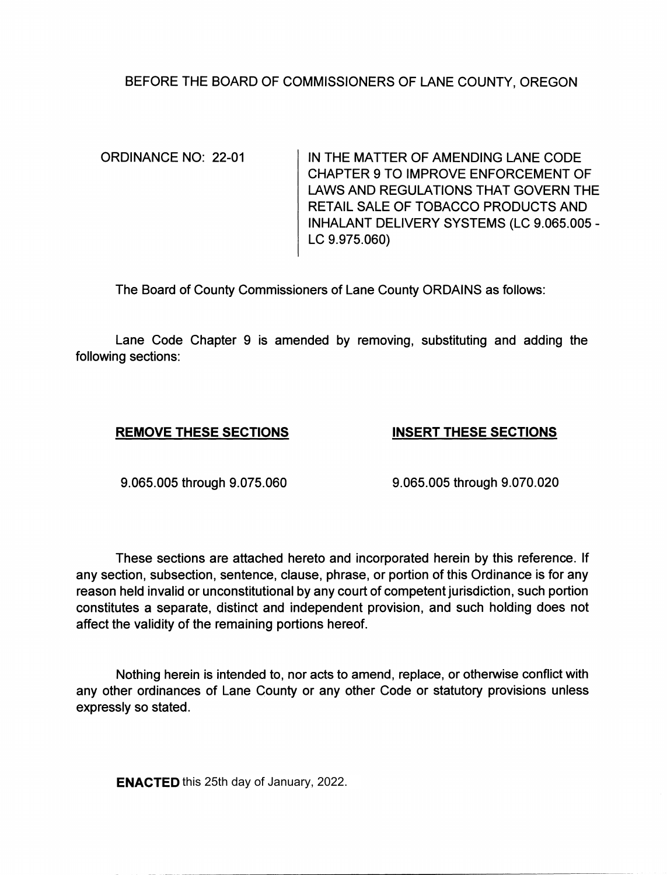# BEFORE THE BOARD OF COMMISSIONERS OF LANE COUNTY, OREGON

ORDINANCE NO: 22-01 IN THE MATTER OF AMENDING LANE CODE CHAPTER 9 TO IMPROVE ENFORCEMENT OF LAWS AND REGULATIONS THAT GOVERN THE RETAIL SALE OF TOBACCO PRODUCTS AND INHALANT DELIVERY SYSTEMS (LC 9.065.005 - LC 9.975.060)

The Board of County Commissioners of Lane County ORDAINS as follows:

Lane Code Chapter 9 is amended by removing, substituting and adding the following sections:

# **REMOVE THESE SECTIONS INSERT THESE SECTIONS**

9.065.005 through 9.075.060 9.065.005 through 9.070.020

These sections are attached hereto and incorporated herein by this reference. If any section, subsection, sentence, clause, phrase, or portion of this Ordinance is for any reason held invalid or unconstitutional by any court of competent jurisdiction, such portion constitutes a separate, distinct and independent provision, and such holding does not affect the validity of the remaining portions hereof.

Nothing herein is intended to, nor acts to amend, replace, or otherwise conflict with any other ordinances of Lane County or any other Code or statutory provisions unless expressly so stated.

**ENACTED** this 25th day of January, 2022.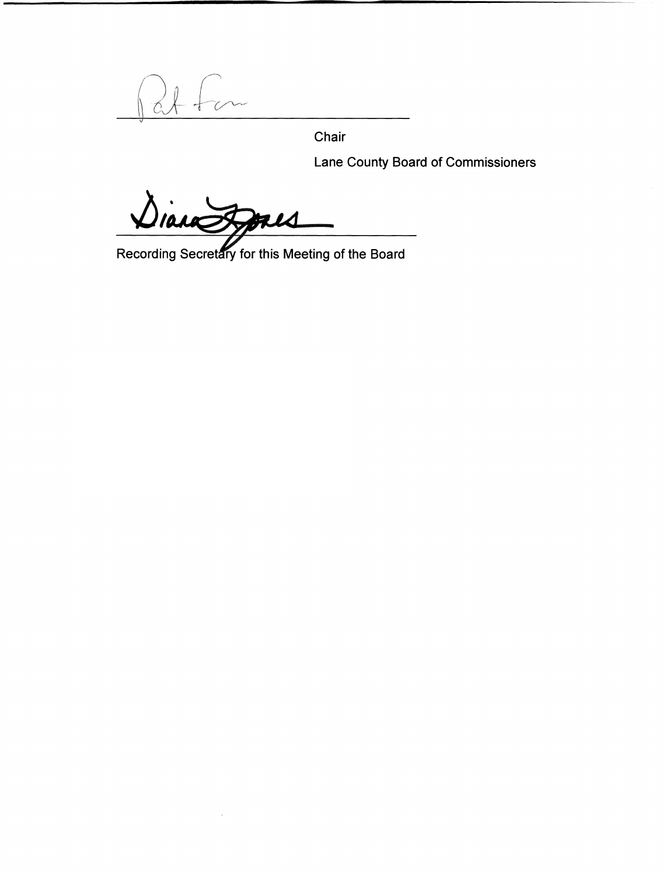Chair

Lane County Board of Commissioners

FLS

Recording Secretary for this Meeting of the Board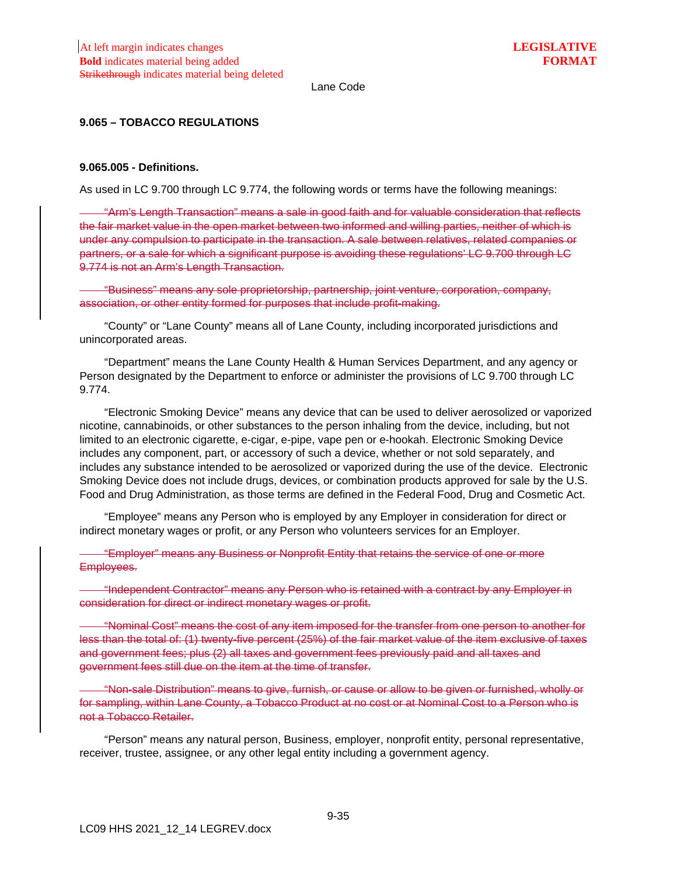## **9.065 – TOBACCO REGULATIONS**

#### **9.065.005 - Definitions.**

As used in LC 9.700 through LC 9.774, the following words or terms have the following meanings:

"Arm's Length Transaction" means a sale in good faith and for valuable consideration that reflects the fair market value in the open market between two informed and willing parties, neither of which is under any compulsion to participate in the transaction. A sale between relatives, related companies or partners, or a sale for which a significant purpose is avoiding these regulations' LC 9.700 through LC 9.774 is not an Arm's Length Transaction.

"Business" means any sole proprietorship, partnership, joint venture, corporation, company, association, or other entity formed for purposes that include profit-making.

"County" or "Lane County" means all of Lane County, including incorporated jurisdictions and unincorporated areas.

"Department" means the Lane County Health & Human Services Department, and any agency or Person designated by the Department to enforce or administer the provisions of LC 9.700 through LC 9.774.

"Electronic Smoking Device" means any device that can be used to deliver aerosolized or vaporized nicotine, cannabinoids, or other substances to the person inhaling from the device, including, but not limited to an electronic cigarette, e-cigar, e-pipe, vape pen or e-hookah. Electronic Smoking Device includes any component, part, or accessory of such a device, whether or not sold separately, and includes any substance intended to be aerosolized or vaporized during the use of the device. Electronic Smoking Device does not include drugs, devices, or combination products approved for sale by the U.S. Food and Drug Administration, as those terms are defined in the Federal Food, Drug and Cosmetic Act.

"Employee" means any Person who is employed by any Employer in consideration for direct or indirect monetary wages or profit, or any Person who volunteers services for an Employer.

"Employer" means any Business or Nonprofit Entity that retains the service of one or more Employees.

"Independent Contractor" means any Person who is retained with a contract by any Employer in consideration for direct or indirect monetary wages or profit.

"Nominal Cost" means the cost of any item imposed for the transfer from one person to another for less than the total of: (1) twenty-five percent (25%) of the fair market value of the item exclusive of taxes and government fees; plus (2) all taxes and government fees previously paid and all taxes and government fees still due on the item at the time of transfer.

"Non-sale Distribution" means to give, furnish, or cause or allow to be given or furnished, wholly or for sampling, within Lane County, a Tobacco Product at no cost or at Nominal Cost to a Person who is not a Tobacco Retailer.

"Person" means any natural person, Business, employer, nonprofit entity, personal representative, receiver, trustee, assignee, or any other legal entity including a government agency.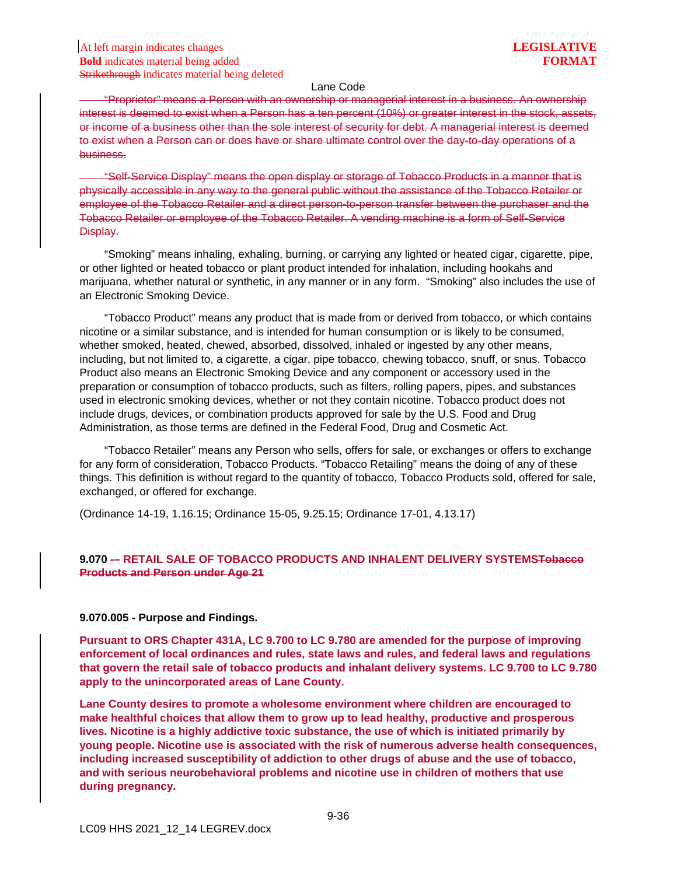"Proprietor" means a Person with an ownership or managerial interest in a business. An ownership interest is deemed to exist when a Person has a ten percent (10%) or greater interest in the stock, assets, or income of a business other than the sole interest of security for debt. A managerial interest is deemed to exist when a Person can or does have or share ultimate control over the day-to-day operations of a business.

"Self-Service Display" means the open display or storage of Tobacco Products in a manner that is physically accessible in any way to the general public without the assistance of the Tobacco Retailer or employee of the Tobacco Retailer and a direct person-to-person transfer between the purchaser and the Tobacco Retailer or employee of the Tobacco Retailer. A vending machine is a form of Self-Service Display.

"Smoking" means inhaling, exhaling, burning, or carrying any lighted or heated cigar, cigarette, pipe, or other lighted or heated tobacco or plant product intended for inhalation, including hookahs and marijuana, whether natural or synthetic, in any manner or in any form. "Smoking" also includes the use of an Electronic Smoking Device.

"Tobacco Product" means any product that is made from or derived from tobacco, or which contains nicotine or a similar substance, and is intended for human consumption or is likely to be consumed, whether smoked, heated, chewed, absorbed, dissolved, inhaled or ingested by any other means, including, but not limited to, a cigarette, a cigar, pipe tobacco, chewing tobacco, snuff, or snus. Tobacco Product also means an Electronic Smoking Device and any component or accessory used in the preparation or consumption of tobacco products, such as filters, rolling papers, pipes, and substances used in electronic smoking devices, whether or not they contain nicotine. Tobacco product does not include drugs, devices, or combination products approved for sale by the U.S. Food and Drug Administration, as those terms are defined in the Federal Food, Drug and Cosmetic Act.

"Tobacco Retailer" means any Person who sells, offers for sale, or exchanges or offers to exchange for any form of consideration, Tobacco Products. "Tobacco Retailing" means the doing of any of these things. This definition is without regard to the quantity of tobacco, Tobacco Products sold, offered for sale, exchanged, or offered for exchange.

(Ordinance 14-19, 1.16.15; Ordinance 15-05, 9.25.15; Ordinance 17-01, 4.13.17)

## **9.070 -– RETAIL SALE OF TOBACCO PRODUCTS AND INHALENT DELIVERY SYSTEMSTobacco Products and Person under Age 21**

#### **9.070.005 - Purpose and Findings.**

**Pursuant to ORS Chapter 431A, LC 9.700 to LC 9.780 are amended for the purpose of improving enforcement of local ordinances and rules, state laws and rules, and federal laws and regulations that govern the retail sale of tobacco products and inhalant delivery systems. LC 9.700 to LC 9.780 apply to the unincorporated areas of Lane County.**

**Lane County desires to promote a wholesome environment where children are encouraged to make healthful choices that allow them to grow up to lead healthy, productive and prosperous lives. Nicotine is a highly addictive toxic substance, the use of which is initiated primarily by young people. Nicotine use is associated with the risk of numerous adverse health consequences, including increased susceptibility of addiction to other drugs of abuse and the use of tobacco, and with serious neurobehavioral problems and nicotine use in children of mothers that use during pregnancy.**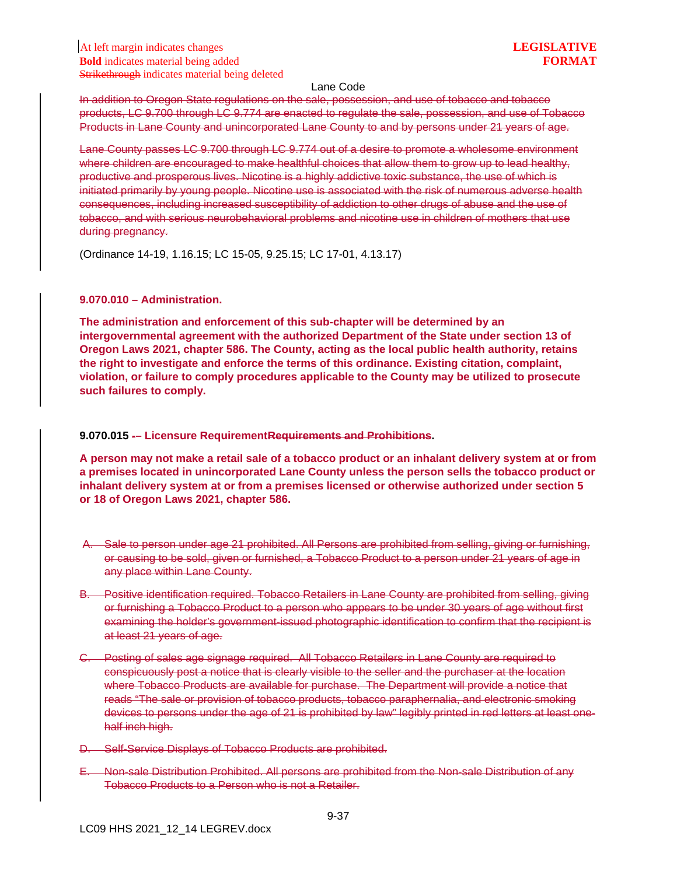In addition to Oregon State regulations on the sale, possession, and use of tobacco and tobacco products, LC 9.700 through LC 9.774 are enacted to regulate the sale, possession, and use of Tobacco Products in Lane County and unincorporated Lane County to and by persons under 21 years of age.

Lane County passes LC 9.700 through LC 9.774 out of a desire to promote a wholesome environment where children are encouraged to make healthful choices that allow them to grow up to lead healthy, productive and prosperous lives. Nicotine is a highly addictive toxic substance, the use of which is initiated primarily by young people. Nicotine use is associated with the risk of numerous adverse health consequences, including increased susceptibility of addiction to other drugs of abuse and the use of tobacco, and with serious neurobehavioral problems and nicotine use in children of mothers that use during pregnancy.

(Ordinance 14-19, 1.16.15; LC 15-05, 9.25.15; LC 17-01, 4.13.17)

## **9.070.010 – Administration.**

**The administration and enforcement of this sub-chapter will be determined by an intergovernmental agreement with the authorized Department of the State under section 13 of Oregon Laws 2021, chapter 586. The County, acting as the local public health authority, retains the right to investigate and enforce the terms of this ordinance. Existing citation, complaint, violation, or failure to comply procedures applicable to the County may be utilized to prosecute such failures to comply.**

## **9.070.015 -– Licensure RequirementRequirements and Prohibitions.**

**A person may not make a retail sale of a tobacco product or an inhalant delivery system at or from a premises located in unincorporated Lane County unless the person sells the tobacco product or inhalant delivery system at or from a premises licensed or otherwise authorized under section 5 or 18 of Oregon Laws 2021, chapter 586.**

- A. Sale to person under age 21 prohibited. All Persons are prohibited from selling, giving or furnishing, or causing to be sold, given or furnished, a Tobacco Product to a person under 21 years of age in any place within Lane County.
- B. Positive identification required. Tobacco Retailers in Lane County are prohibited from selling, giving or furnishing a Tobacco Product to a person who appears to be under 30 years of age without first examining the holder's government-issued photographic identification to confirm that the recipient is at least 21 years of age.
- C. Posting of sales age signage required. All Tobacco Retailers in Lane County are required to conspicuously post a notice that is clearly visible to the seller and the purchaser at the location where Tobacco Products are available for purchase. The Department will provide a notice that reads "The sale or provision of tobacco products, tobacco paraphernalia, and electronic smoking devices to persons under the age of 21 is prohibited by law" legibly printed in red letters at least onehalf inch high.
- D. Self-Service Displays of Tobacco Products are prohibited.
- E. Non-sale Distribution Prohibited. All persons are prohibited from the Non-sale Distribution of any Tobacco Products to a Person who is not a Retailer.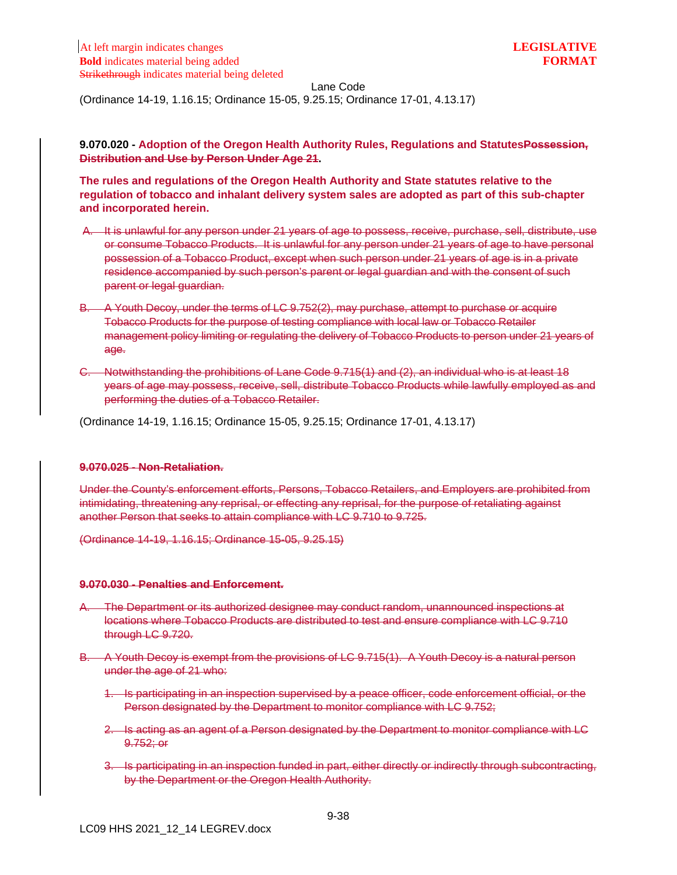(Ordinance 14-19, 1.16.15; Ordinance 15-05, 9.25.15; Ordinance 17-01, 4.13.17)

**9.070.020 - Adoption of the Oregon Health Authority Rules, Regulations and StatutesPossession, Distribution and Use by Person Under Age 21.**

**The rules and regulations of the Oregon Health Authority and State statutes relative to the regulation of tobacco and inhalant delivery system sales are adopted as part of this sub-chapter and incorporated herein.**

- A. It is unlawful for any person under 21 years of age to possess, receive, purchase, sell, distribute, use or consume Tobacco Products. It is unlawful for any person under 21 years of age to have personal possession of a Tobacco Product, except when such person under 21 years of age is in a private residence accompanied by such person's parent or legal guardian and with the consent of such parent or legal guardian.
- B. A Youth Decoy, under the terms of LC 9.752(2), may purchase, attempt to purchase or acquire Tobacco Products for the purpose of testing compliance with local law or Tobacco Retailer management policy limiting or regulating the delivery of Tobacco Products to person under 21 years of age.
- C. Notwithstanding the prohibitions of Lane Code 9.715(1) and (2), an individual who is at least 18 years of age may possess, receive, sell, distribute Tobacco Products while lawfully employed as and performing the duties of a Tobacco Retailer.

(Ordinance 14-19, 1.16.15; Ordinance 15-05, 9.25.15; Ordinance 17-01, 4.13.17)

#### **9.070.025 - Non-Retaliation.**

Under the County's enforcement efforts, Persons, Tobacco Retailers, and Employers are prohibited from intimidating, threatening any reprisal, or effecting any reprisal, for the purpose of retaliating against another Person that seeks to attain compliance with LC 9.710 to 9.725.

(Ordinance 14-19, 1.16.15; Ordinance 15-05, 9.25.15)

### **9.070.030 - Penalties and Enforcement.**

- The Department or its authorized designee may conduct random, unannounced inspections at locations where Tobacco Products are distributed to test and ensure compliance with LC 9.710 through LC 9.720.
- B. A Youth Decoy is exempt from the provisions of LC 9.715(1). A Youth Decoy is a natural person under the age of 21 who:
	- 1. Is participating in an inspection supervised by a peace officer, code enforcement official, or the Person designated by the Department to monitor compliance with LC 9.752;
	- 2. Is acting as an agent of a Person designated by the Department to monitor compliance with LC 9.752; or
	- 3. Is participating in an inspection funded in part, either directly or indirectly through subcontracting, by the Department or the Oregon Health Authority.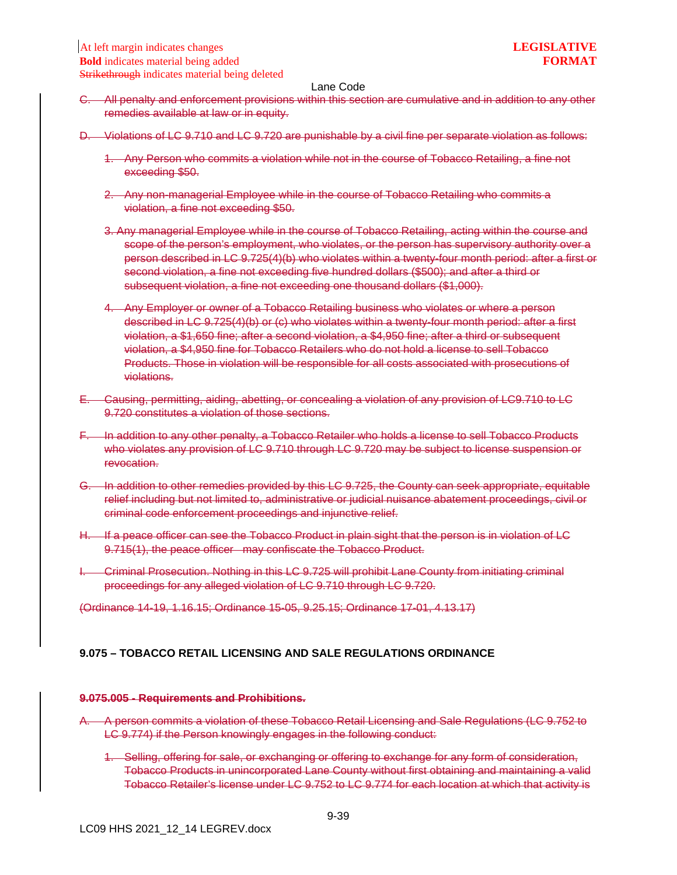- C. All penalty and enforcement provisions within this section are cumulative and in addition to any other remedies available at law or in equity.
- D. Violations of LC 9.710 and LC 9.720 are punishable by a civil fine per separate violation as follows:
	- 1. Any Person who commits a violation while not in the course of Tobacco Retailing, a fine not exceeding \$50.
	- 2. Any non-managerial Employee while in the course of Tobacco Retailing who commits a violation, a fine not exceeding \$50.
	- 3. Any managerial Employee while in the course of Tobacco Retailing, acting within the course and scope of the person's employment, who violates, or the person has supervisory authority over a person described in LC 9.725(4)(b) who violates within a twenty-four month period: after a first or second violation, a fine not exceeding five hundred dollars (\$500); and after a third or subsequent violation, a fine not exceeding one thousand dollars (\$1,000).
	- 4. Any Employer or owner of a Tobacco Retailing business who violates or where a person described in LC 9.725(4)(b) or (c) who violates within a twenty-four month period: after a first violation, a \$1,650 fine; after a second violation, a \$4,950 fine; after a third or subsequent violation, a \$4,950 fine for Tobacco Retailers who do not hold a license to sell Tobacco Products. Those in violation will be responsible for all costs associated with prosecutions of violations.
- E. Causing, permitting, aiding, abetting, or concealing a violation of any provision of LC9.710 to LC 9.720 constitutes a violation of those sections.
- F. In addition to any other penalty, a Tobacco Retailer who holds a license to sell Tobacco Products who violates any provision of LC 9.710 through LC 9.720 may be subject to license suspension or revocation.
- G. In addition to other remedies provided by this LC 9.725, the County can seek appropriate, equitable relief including but not limited to, administrative or judicial nuisance abatement proceedings, civil or criminal code enforcement proceedings and injunctive relief.
- H. If a peace officer can see the Tobacco Product in plain sight that the person is in violation of LC 9.715(1), the peace officer may confiscate the Tobacco Product.
- I. Criminal Prosecution. Nothing in this LC 9.725 will prohibit Lane County from initiating criminal proceedings for any alleged violation of LC 9.710 through LC 9.720.

(Ordinance 14-19, 1.16.15; Ordinance 15-05, 9.25.15; Ordinance 17-01, 4.13.17)

### **9.075 – TOBACCO RETAIL LICENSING AND SALE REGULATIONS ORDINANCE**

#### **9.075.005 - Requirements and Prohibitions.**

- A. A person commits a violation of these Tobacco Retail Licensing and Sale Regulations (LC 9.752 to LC 9.774) if the Person knowingly engages in the following conduct:
	- 1. Selling, offering for sale, or exchanging or offering to exchange for any form of consideration, Tobacco Products in unincorporated Lane County without first obtaining and maintaining a valid Tobacco Retailer's license under LC 9.752 to LC 9.774 for each location at which that activity is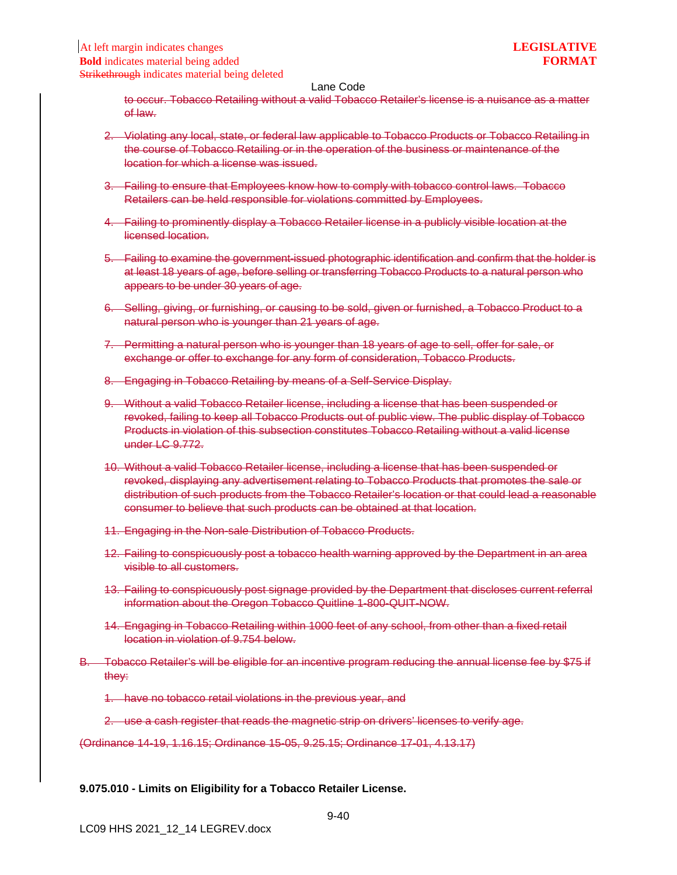to occur. Tobacco Retailing without a valid Tobacco Retailer's license is a nuisance as a matter of law.

- 2. Violating any local, state, or federal law applicable to Tobacco Products or Tobacco Retailing in the course of Tobacco Retailing or in the operation of the business or maintenance of the location for which a license was issued.
- 3. Failing to ensure that Employees know how to comply with tobacco control laws. Tobacco Retailers can be held responsible for violations committed by Employees.
- 4. Failing to prominently display a Tobacco Retailer license in a publicly visible location at the licensed location.
- 5. Failing to examine the government-issued photographic identification and confirm that the holder is at least 18 years of age, before selling or transferring Tobacco Products to a natural person who appears to be under 30 years of age.
- 6. Selling, giving, or furnishing, or causing to be sold, given or furnished, a Tobacco Product to a natural person who is younger than 21 years of age.
- 7. Permitting a natural person who is younger than 18 years of age to sell, offer for sale, or exchange or offer to exchange for any form of consideration, Tobacco Products.
- 8. Engaging in Tobacco Retailing by means of a Self-Service Display.
- 9. Without a valid Tobacco Retailer license, including a license that has been suspended or revoked, failing to keep all Tobacco Products out of public view. The public display of Tobacco Products in violation of this subsection constitutes Tobacco Retailing without a valid license under LC 9.772.
- 10. Without a valid Tobacco Retailer license, including a license that has been suspended or revoked, displaying any advertisement relating to Tobacco Products that promotes the sale or distribution of such products from the Tobacco Retailer's location or that could lead a reasonable consumer to believe that such products can be obtained at that location.
- 11. Engaging in the Non-sale Distribution of Tobacco Products.
- 12. Failing to conspicuously post a tobacco health warning approved by the Department in an area visible to all customers.
- 13. Failing to conspicuously post signage provided by the Department that discloses current referral information about the Oregon Tobacco Quitline 1-800-QUIT-NOW.
- 14. Engaging in Tobacco Retailing within 1000 feet of any school, from other than a fixed retail location in violation of 9.754 below.
- B. Tobacco Retailer's will be eligible for an incentive program reducing the annual license fee by \$75 if they:
	- 1. have no tobacco retail violations in the previous year, and
	- 2. use a cash register that reads the magnetic strip on drivers' licenses to verify age.

(Ordinance 14-19, 1.16.15; Ordinance 15-05, 9.25.15; Ordinance 17-01, 4.13.17)

**9.075.010 - Limits on Eligibility for a Tobacco Retailer License.**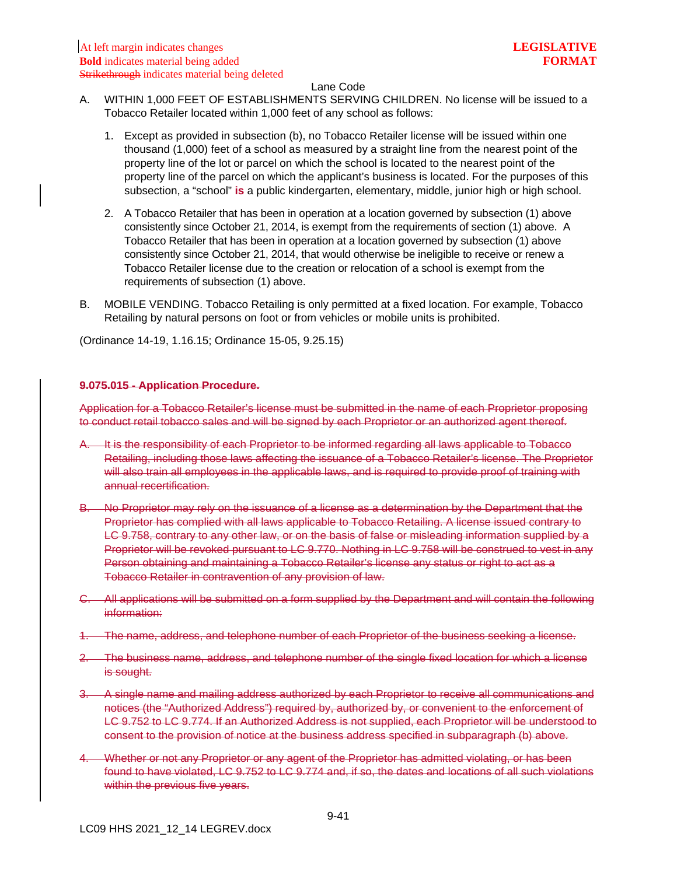- A. WITHIN 1,000 FEET OF ESTABLISHMENTS SERVING CHILDREN. No license will be issued to a Tobacco Retailer located within 1,000 feet of any school as follows:
	- 1. Except as provided in subsection (b), no Tobacco Retailer license will be issued within one thousand (1,000) feet of a school as measured by a straight line from the nearest point of the property line of the lot or parcel on which the school is located to the nearest point of the property line of the parcel on which the applicant's business is located. For the purposes of this subsection, a "school" **is** a public kindergarten, elementary, middle, junior high or high school.
	- 2. A Tobacco Retailer that has been in operation at a location governed by subsection (1) above consistently since October 21, 2014, is exempt from the requirements of section (1) above. A Tobacco Retailer that has been in operation at a location governed by subsection (1) above consistently since October 21, 2014, that would otherwise be ineligible to receive or renew a Tobacco Retailer license due to the creation or relocation of a school is exempt from the requirements of subsection (1) above.
- B. MOBILE VENDING. Tobacco Retailing is only permitted at a fixed location. For example, Tobacco Retailing by natural persons on foot or from vehicles or mobile units is prohibited.

(Ordinance 14-19, 1.16.15; Ordinance 15-05, 9.25.15)

### **9.075.015 - Application Procedure.**

Application for a Tobacco Retailer's license must be submitted in the name of each Proprietor proposing to conduct retail tobacco sales and will be signed by each Proprietor or an authorized agent thereof.

- A. It is the responsibility of each Proprietor to be informed regarding all laws applicable to Tobacco Retailing, including those laws affecting the issuance of a Tobacco Retailer's license. The Proprietor will also train all employees in the applicable laws, and is required to provide proof of training with annual recertification.
- B. No Proprietor may rely on the issuance of a license as a determination by the Department that the Proprietor has complied with all laws applicable to Tobacco Retailing. A license issued contrary to LC 9.758, contrary to any other law, or on the basis of false or misleading information supplied by a Proprietor will be revoked pursuant to LC 9.770. Nothing in LC 9.758 will be construed to vest in any Person obtaining and maintaining a Tobacco Retailer's license any status or right to act as a Tobacco Retailer in contravention of any provision of law.
- C. All applications will be submitted on a form supplied by the Department and will contain the following information:
- 1. The name, address, and telephone number of each Proprietor of the business seeking a license.
- 2. The business name, address, and telephone number of the single fixed location for which a license is sought.
- 3. A single name and mailing address authorized by each Proprietor to receive all communications and notices (the "Authorized Address") required by, authorized by, or convenient to the enforcement of LC 9.752 to LC 9.774. If an Authorized Address is not supplied, each Proprietor will be understood to consent to the provision of notice at the business address specified in subparagraph (b) above.
- 4. Whether or not any Proprietor or any agent of the Proprietor has admitted violating, or has been found to have violated, LC 9.752 to LC 9.774 and, if so, the dates and locations of all such violations within the previous five years.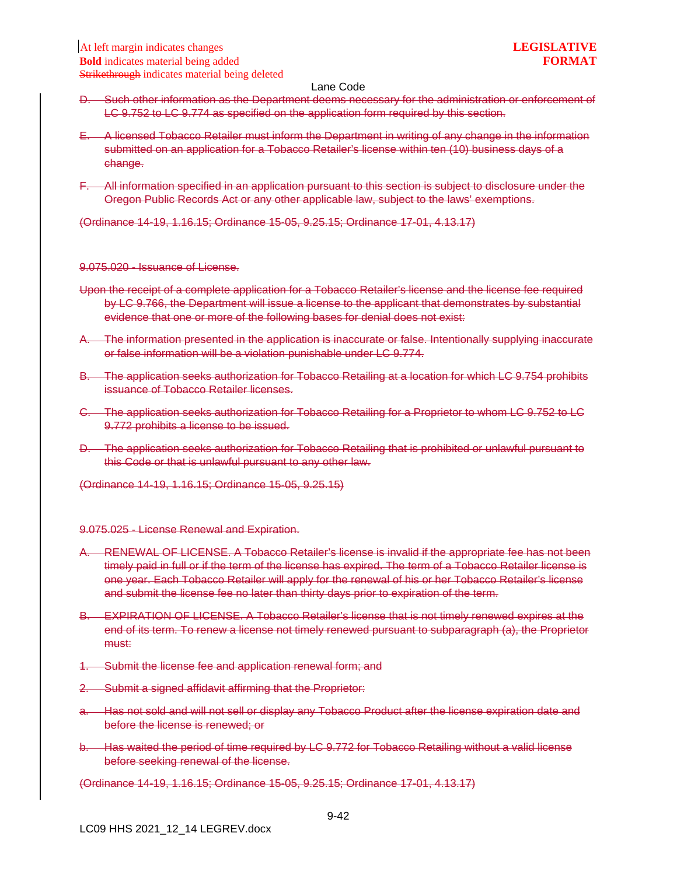- D. Such other information as the Department deems necessary for the administration or enforcement of LC 9.752 to LC 9.774 as specified on the application form required by this section.
- E. A licensed Tobacco Retailer must inform the Department in writing of any change in the information submitted on an application for a Tobacco Retailer's license within ten (10) business days of a change.
- F. All information specified in an application pursuant to this section is subject to disclosure under the Oregon Public Records Act or any other applicable law, subject to the laws' exemptions.

(Ordinance 14-19, 1.16.15; Ordinance 15-05, 9.25.15; Ordinance 17-01, 4.13.17)

9.075.020 - Issuance of License.

- Upon the receipt of a complete application for a Tobacco Retailer's license and the license fee required by LC 9.766, the Department will issue a license to the applicant that demonstrates by substantial evidence that one or more of the following bases for denial does not exist:
- A. The information presented in the application is inaccurate or false. Intentionally supplying inaccurate or false information will be a violation punishable under LC 9.774.
- B. The application seeks authorization for Tobacco Retailing at a location for which LC 9.754 prohibits issuance of Tobacco Retailer licenses.
- C. The application seeks authorization for Tobacco Retailing for a Proprietor to whom LC 9.752 to LC 9.772 prohibits a license to be issued.
- D. The application seeks authorization for Tobacco Retailing that is prohibited or unlawful pursuant to this Code or that is unlawful pursuant to any other law.

(Ordinance 14-19, 1.16.15; Ordinance 15-05, 9.25.15)

9.075.025 - License Renewal and Expiration.

- A. RENEWAL OF LICENSE. A Tobacco Retailer's license is invalid if the appropriate fee has not been timely paid in full or if the term of the license has expired. The term of a Tobacco Retailer license is one year. Each Tobacco Retailer will apply for the renewal of his or her Tobacco Retailer's license and submit the license fee no later than thirty days prior to expiration of the term.
- B. EXPIRATION OF LICENSE. A Tobacco Retailer's license that is not timely renewed expires at the end of its term. To renew a license not timely renewed pursuant to subparagraph (a), the Proprietor must:
- 1. Submit the license fee and application renewal form; and
- 2. Submit a signed affidavit affirming that the Proprietor:
- Has not sold and will not sell or display any Tobacco Product after the license expiration date and before the license is renewed; or
- b. Has waited the period of time required by LC 9.772 for Tobacco Retailing without a valid license before seeking renewal of the license.

(Ordinance 14-19, 1.16.15; Ordinance 15-05, 9.25.15; Ordinance 17-01, 4.13.17)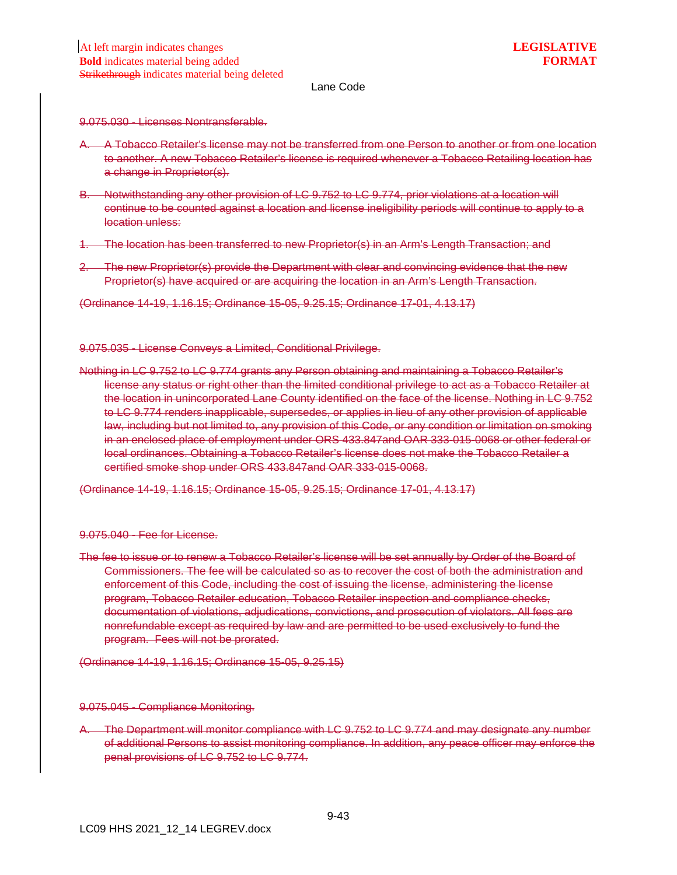9.075.030 - Licenses Nontransferable.

- A. A Tobacco Retailer's license may not be transferred from one Person to another or from one location to another. A new Tobacco Retailer's license is required whenever a Tobacco Retailing location has a change in Proprietor(s).
- B. Notwithstanding any other provision of LC 9.752 to LC 9.774, prior violations at a location will continue to be counted against a location and license ineligibility periods will continue to apply to a location unless:
- 1. The location has been transferred to new Proprietor(s) in an Arm's Length Transaction; and
- 2. The new Proprietor(s) provide the Department with clear and convincing evidence that the new Proprietor(s) have acquired or are acquiring the location in an Arm's Length Transaction.
- (Ordinance 14-19, 1.16.15; Ordinance 15-05, 9.25.15; Ordinance 17-01, 4.13.17)

9.075.035 - License Conveys a Limited, Conditional Privilege.

Nothing in LC 9.752 to LC 9.774 grants any Person obtaining and maintaining a Tobacco Retailer's license any status or right other than the limited conditional privilege to act as a Tobacco Retailer at the location in unincorporated Lane County identified on the face of the license. Nothing in LC 9.752 to LC 9.774 renders inapplicable, supersedes, or applies in lieu of any other provision of applicable law, including but not limited to, any provision of this Code, or any condition or limitation on smoking in an enclosed place of employment under ORS 433.847and OAR 333-015-0068 or other federal or local ordinances. Obtaining a Tobacco Retailer's license does not make the Tobacco Retailer a certified smoke shop under ORS 433.847and OAR 333-015-0068.

(Ordinance 14-19, 1.16.15; Ordinance 15-05, 9.25.15; Ordinance 17-01, 4.13.17)

9.075.040 - Fee for License.

The fee to issue or to renew a Tobacco Retailer's license will be set annually by Order of the Board of Commissioners. The fee will be calculated so as to recover the cost of both the administration and enforcement of this Code, including the cost of issuing the license, administering the license program, Tobacco Retailer education, Tobacco Retailer inspection and compliance checks, documentation of violations, adjudications, convictions, and prosecution of violators. All fees are nonrefundable except as required by law and are permitted to be used exclusively to fund the program. Fees will not be prorated.

(Ordinance 14-19, 1.16.15; Ordinance 15-05, 9.25.15)

#### 9.075.045 - Compliance Monitoring.

A. The Department will monitor compliance with LC 9.752 to LC 9.774 and may designate any number of additional Persons to assist monitoring compliance. In addition, any peace officer may enforce the penal provisions of LC 9.752 to LC 9.774.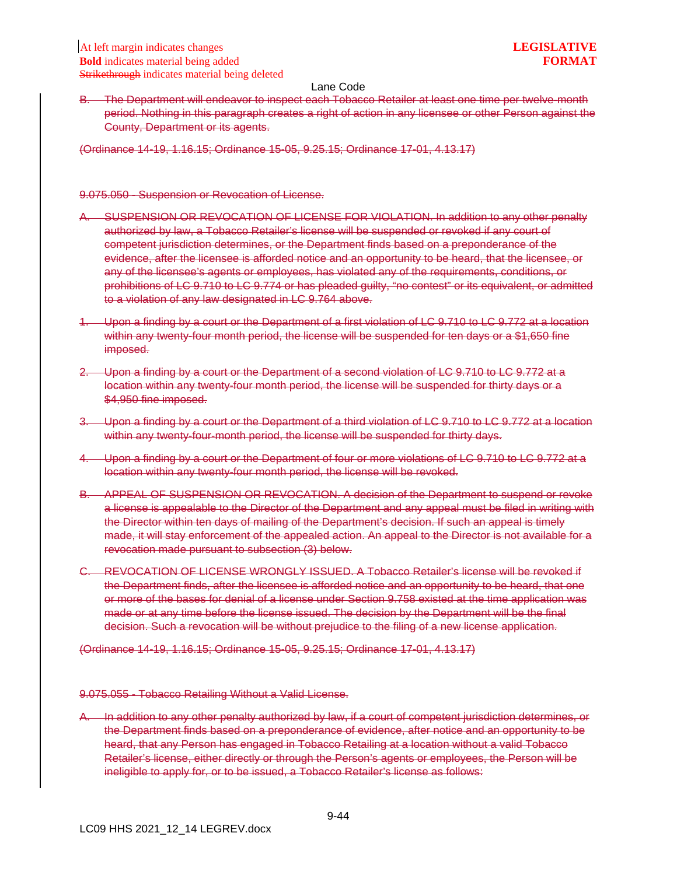B. The Department will endeavor to inspect each Tobacco Retailer at least one time per twelve-month period. Nothing in this paragraph creates a right of action in any licensee or other Person against the County, Department or its agents.

(Ordinance 14-19, 1.16.15; Ordinance 15-05, 9.25.15; Ordinance 17-01, 4.13.17)

#### 9.075.050 - Suspension or Revocation of License.

- A. SUSPENSION OR REVOCATION OF LICENSE FOR VIOLATION. In addition to any other penalty authorized by law, a Tobacco Retailer's license will be suspended or revoked if any court of competent jurisdiction determines, or the Department finds based on a preponderance of the evidence, after the licensee is afforded notice and an opportunity to be heard, that the licensee, or any of the licensee's agents or employees, has violated any of the requirements, conditions, or prohibitions of LC 9.710 to LC 9.774 or has pleaded guilty, "no contest" or its equivalent, or admitted to a violation of any law designated in LC 9.764 above.
- 1. Upon a finding by a court or the Department of a first violation of LC 9.710 to LC 9.772 at a location within any twenty-four month period, the license will be suspended for ten days or a \$1,650 fine imposed.
- 2. Upon a finding by a court or the Department of a second violation of LC 9.710 to LC 9.772 at a location within any twenty-four month period, the license will be suspended for thirty days or a \$4,950 fine imposed.
- 3. Upon a finding by a court or the Department of a third violation of LC 9.710 to LC 9.772 at a location within any twenty-four-month period, the license will be suspended for thirty days.
- 4. Upon a finding by a court or the Department of four or more violations of LC 9.710 to LC 9.772 at a location within any twenty-four month period, the license will be revoked.
- B. APPEAL OF SUSPENSION OR REVOCATION. A decision of the Department to suspend or revoke a license is appealable to the Director of the Department and any appeal must be filed in writing with the Director within ten days of mailing of the Department's decision. If such an appeal is timely made, it will stay enforcement of the appealed action. An appeal to the Director is not available for a revocation made pursuant to subsection (3) below.
- C. REVOCATION OF LICENSE WRONGLY ISSUED. A Tobacco Retailer's license will be revoked if the Department finds, after the licensee is afforded notice and an opportunity to be heard, that one or more of the bases for denial of a license under Section 9.758 existed at the time application was made or at any time before the license issued. The decision by the Department will be the final decision. Such a revocation will be without prejudice to the filing of a new license application.

(Ordinance 14-19, 1.16.15; Ordinance 15-05, 9.25.15; Ordinance 17-01, 4.13.17)

#### 9.075.055 - Tobacco Retailing Without a Valid License.

In addition to any other penalty authorized by law, if a court of competent jurisdiction determines, or the Department finds based on a preponderance of evidence, after notice and an opportunity to be heard, that any Person has engaged in Tobacco Retailing at a location without a valid Tobacco Retailer's license, either directly or through the Person's agents or employees, the Person will be ineligible to apply for, or to be issued, a Tobacco Retailer's license as follows: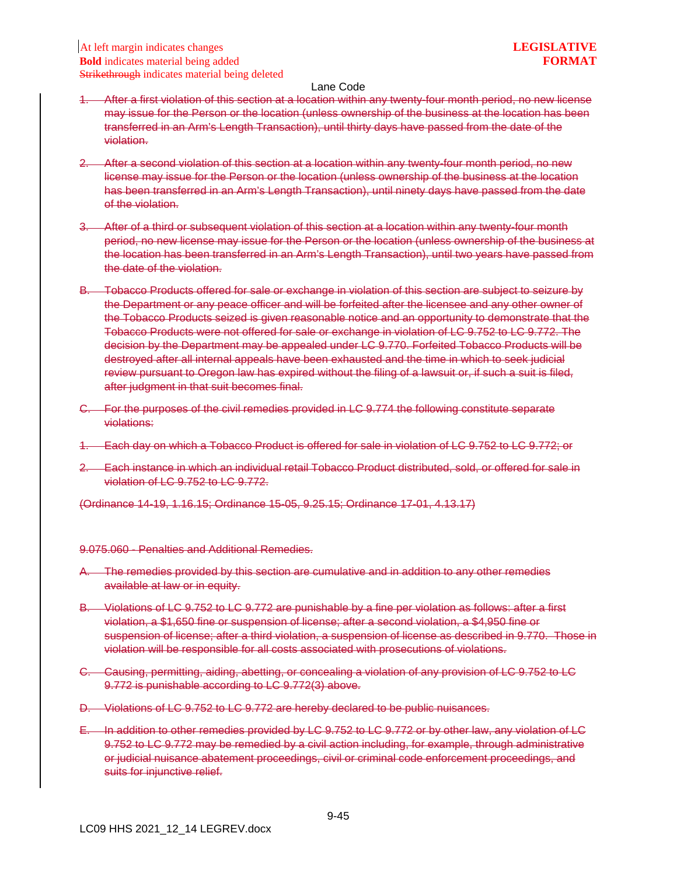- 1. After a first violation of this section at a location within any twenty-four month period, no new license may issue for the Person or the location (unless ownership of the business at the location has been transferred in an Arm's Length Transaction), until thirty days have passed from the date of the violation.
- 2. After a second violation of this section at a location within any twenty-four month period, no new license may issue for the Person or the location (unless ownership of the business at the location has been transferred in an Arm's Length Transaction), until ninety days have passed from the date of the violation.
- 3. After of a third or subsequent violation of this section at a location within any twenty-four month period, no new license may issue for the Person or the location (unless ownership of the business at the location has been transferred in an Arm's Length Transaction), until two years have passed from the date of the violation.
- B. Tobacco Products offered for sale or exchange in violation of this section are subject to seizure by the Department or any peace officer and will be forfeited after the licensee and any other owner of the Tobacco Products seized is given reasonable notice and an opportunity to demonstrate that the Tobacco Products were not offered for sale or exchange in violation of LC 9.752 to LC 9.772. The decision by the Department may be appealed under LC 9.770. Forfeited Tobacco Products will be destroyed after all internal appeals have been exhausted and the time in which to seek judicial review pursuant to Oregon law has expired without the filing of a lawsuit or, if such a suit is filed, after judgment in that suit becomes final.
- C. For the purposes of the civil remedies provided in LC 9.774 the following constitute separate violations:
- **Each day on which a Tobacco Product is offered for sale in violation of LC 9.752 to LC 9.772; or**
- 2. Each instance in which an individual retail Tobacco Product distributed, sold, or offered for sale in violation of LC 9.752 to LC 9.772.

(Ordinance 14-19, 1.16.15; Ordinance 15-05, 9.25.15; Ordinance 17-01, 4.13.17)

9.075.060 - Penalties and Additional Remedies.

- A. The remedies provided by this section are cumulative and in addition to any other remedies available at law or in equity.
- B. Violations of LC 9.752 to LC 9.772 are punishable by a fine per violation as follows: after a first violation, a \$1,650 fine or suspension of license; after a second violation, a \$4,950 fine or suspension of license; after a third violation, a suspension of license as described in 9.770. Those in violation will be responsible for all costs associated with prosecutions of violations.
- C. Causing, permitting, aiding, abetting, or concealing a violation of any provision of LC 9.752 to LC 9.772 is punishable according to LC 9.772(3) above.
- D. Violations of LC 9.752 to LC 9.772 are hereby declared to be public nuisances.
- E. In addition to other remedies provided by LC 9.752 to LC 9.772 or by other law, any violation of LC 9.752 to LC 9.772 may be remedied by a civil action including, for example, through administrative or judicial nuisance abatement proceedings, civil or criminal code enforcement proceedings, and suits for injunctive relief.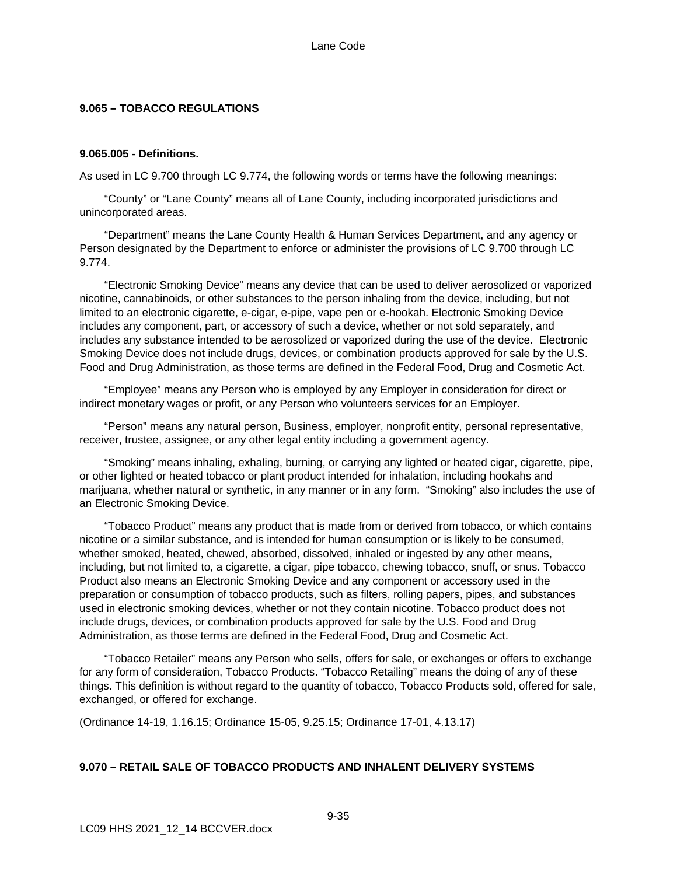## **9.065 – TOBACCO REGULATIONS**

### **9.065.005 - Definitions.**

As used in LC 9.700 through LC 9.774, the following words or terms have the following meanings:

"County" or "Lane County" means all of Lane County, including incorporated jurisdictions and unincorporated areas.

"Department" means the Lane County Health & Human Services Department, and any agency or Person designated by the Department to enforce or administer the provisions of LC 9.700 through LC 9.774.

"Electronic Smoking Device" means any device that can be used to deliver aerosolized or vaporized nicotine, cannabinoids, or other substances to the person inhaling from the device, including, but not limited to an electronic cigarette, e-cigar, e-pipe, vape pen or e-hookah. Electronic Smoking Device includes any component, part, or accessory of such a device, whether or not sold separately, and includes any substance intended to be aerosolized or vaporized during the use of the device. Electronic Smoking Device does not include drugs, devices, or combination products approved for sale by the U.S. Food and Drug Administration, as those terms are defined in the Federal Food, Drug and Cosmetic Act.

"Employee" means any Person who is employed by any Employer in consideration for direct or indirect monetary wages or profit, or any Person who volunteers services for an Employer.

"Person" means any natural person, Business, employer, nonprofit entity, personal representative, receiver, trustee, assignee, or any other legal entity including a government agency.

"Smoking" means inhaling, exhaling, burning, or carrying any lighted or heated cigar, cigarette, pipe, or other lighted or heated tobacco or plant product intended for inhalation, including hookahs and marijuana, whether natural or synthetic, in any manner or in any form. "Smoking" also includes the use of an Electronic Smoking Device.

"Tobacco Product" means any product that is made from or derived from tobacco, or which contains nicotine or a similar substance, and is intended for human consumption or is likely to be consumed, whether smoked, heated, chewed, absorbed, dissolved, inhaled or ingested by any other means, including, but not limited to, a cigarette, a cigar, pipe tobacco, chewing tobacco, snuff, or snus. Tobacco Product also means an Electronic Smoking Device and any component or accessory used in the preparation or consumption of tobacco products, such as filters, rolling papers, pipes, and substances used in electronic smoking devices, whether or not they contain nicotine. Tobacco product does not include drugs, devices, or combination products approved for sale by the U.S. Food and Drug Administration, as those terms are defined in the Federal Food, Drug and Cosmetic Act.

"Tobacco Retailer" means any Person who sells, offers for sale, or exchanges or offers to exchange for any form of consideration, Tobacco Products. "Tobacco Retailing" means the doing of any of these things. This definition is without regard to the quantity of tobacco, Tobacco Products sold, offered for sale, exchanged, or offered for exchange.

(Ordinance 14-19, 1.16.15; Ordinance 15-05, 9.25.15; Ordinance 17-01, 4.13.17)

## **9.070 – RETAIL SALE OF TOBACCO PRODUCTS AND INHALENT DELIVERY SYSTEMS**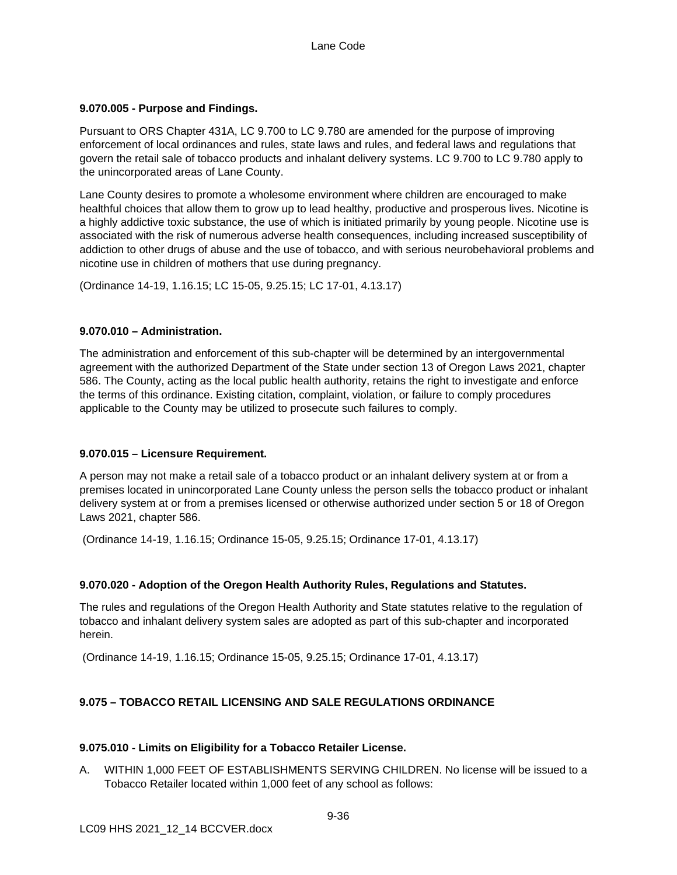## **9.070.005 - Purpose and Findings.**

Pursuant to ORS Chapter 431A, LC 9.700 to LC 9.780 are amended for the purpose of improving enforcement of local ordinances and rules, state laws and rules, and federal laws and regulations that govern the retail sale of tobacco products and inhalant delivery systems. LC 9.700 to LC 9.780 apply to the unincorporated areas of Lane County.

Lane County desires to promote a wholesome environment where children are encouraged to make healthful choices that allow them to grow up to lead healthy, productive and prosperous lives. Nicotine is a highly addictive toxic substance, the use of which is initiated primarily by young people. Nicotine use is associated with the risk of numerous adverse health consequences, including increased susceptibility of addiction to other drugs of abuse and the use of tobacco, and with serious neurobehavioral problems and nicotine use in children of mothers that use during pregnancy.

(Ordinance 14-19, 1.16.15; LC 15-05, 9.25.15; LC 17-01, 4.13.17)

## **9.070.010 – Administration.**

The administration and enforcement of this sub-chapter will be determined by an intergovernmental agreement with the authorized Department of the State under section 13 of Oregon Laws 2021, chapter 586. The County, acting as the local public health authority, retains the right to investigate and enforce the terms of this ordinance. Existing citation, complaint, violation, or failure to comply procedures applicable to the County may be utilized to prosecute such failures to comply.

## **9.070.015 – Licensure Requirement.**

A person may not make a retail sale of a tobacco product or an inhalant delivery system at or from a premises located in unincorporated Lane County unless the person sells the tobacco product or inhalant delivery system at or from a premises licensed or otherwise authorized under section 5 or 18 of Oregon Laws 2021, chapter 586.

(Ordinance 14-19, 1.16.15; Ordinance 15-05, 9.25.15; Ordinance 17-01, 4.13.17)

## **9.070.020 - Adoption of the Oregon Health Authority Rules, Regulations and Statutes.**

The rules and regulations of the Oregon Health Authority and State statutes relative to the regulation of tobacco and inhalant delivery system sales are adopted as part of this sub-chapter and incorporated herein.

(Ordinance 14-19, 1.16.15; Ordinance 15-05, 9.25.15; Ordinance 17-01, 4.13.17)

## **9.075 – TOBACCO RETAIL LICENSING AND SALE REGULATIONS ORDINANCE**

## **9.075.010 - Limits on Eligibility for a Tobacco Retailer License.**

A. WITHIN 1,000 FEET OF ESTABLISHMENTS SERVING CHILDREN. No license will be issued to a Tobacco Retailer located within 1,000 feet of any school as follows: